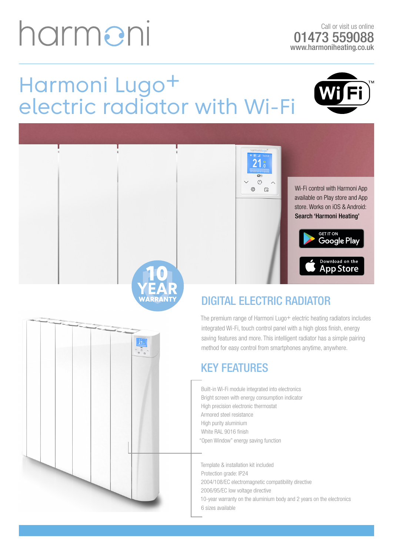## harmeni

Call or visit us online 01473 559088 www.harmoniheating.co.uk

> **GET IT ON** Google Play

> Download on the<br>App Store

### Harmoni Lugo+ electric radiator with Wi-Fi





#### DIGITAL ELECTRIC RADIATOR

The premium range of Harmoni Lugo+ electric heating radiators includes integrated Wi-Fi, touch control panel with a high gloss finish, energy saving features and more. This intelligent radiator has a simple pairing method for easy control from smartphones anytime, anywhere.

#### KEY FEATURES

Built-in Wi-Fi module integrated into electronics Bright screen with energy consumption indicator High precision electronic thermostat Armored steel resistance High purity aluminium White RAL 9016 finish "Open Window" energy saving function

Template & installation kit included Protection grade: IP24 2004/108/EC electromagnetic compatibility directive 2006/95/EC low voltage directive 10-year warranty on the aluminium body and 2 years on the electronics 6 sizes available